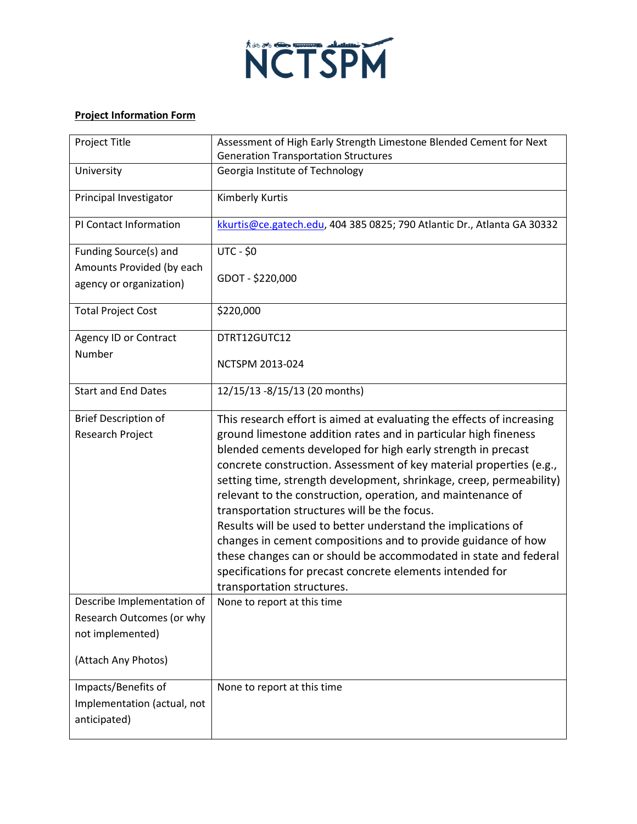

## **Project Information Form**

| <b>Project Title</b>        | Assessment of High Early Strength Limestone Blended Cement for Next<br><b>Generation Transportation Structures</b>                 |
|-----------------------------|------------------------------------------------------------------------------------------------------------------------------------|
| University                  | Georgia Institute of Technology                                                                                                    |
| Principal Investigator      | Kimberly Kurtis                                                                                                                    |
| PI Contact Information      | kkurtis@ce.gatech.edu, 404 385 0825; 790 Atlantic Dr., Atlanta GA 30332                                                            |
| Funding Source(s) and       | <b>UTC - \$0</b>                                                                                                                   |
| Amounts Provided (by each   | GDOT - \$220,000                                                                                                                   |
| agency or organization)     |                                                                                                                                    |
| <b>Total Project Cost</b>   | \$220,000                                                                                                                          |
| Agency ID or Contract       | DTRT12GUTC12                                                                                                                       |
| Number                      | <b>NCTSPM 2013-024</b>                                                                                                             |
| <b>Start and End Dates</b>  | 12/15/13 -8/15/13 (20 months)                                                                                                      |
| <b>Brief Description of</b> | This research effort is aimed at evaluating the effects of increasing                                                              |
| Research Project            | ground limestone addition rates and in particular high fineness                                                                    |
|                             | blended cements developed for high early strength in precast                                                                       |
|                             | concrete construction. Assessment of key material properties (e.g.,                                                                |
|                             | setting time, strength development, shrinkage, creep, permeability)<br>relevant to the construction, operation, and maintenance of |
|                             | transportation structures will be the focus.                                                                                       |
|                             | Results will be used to better understand the implications of                                                                      |
|                             | changes in cement compositions and to provide guidance of how                                                                      |
|                             | these changes can or should be accommodated in state and federal                                                                   |
|                             | specifications for precast concrete elements intended for                                                                          |
|                             | transportation structures.                                                                                                         |
| Describe Implementation of  | None to report at this time                                                                                                        |
| Research Outcomes (or why   |                                                                                                                                    |
| not implemented)            |                                                                                                                                    |
| (Attach Any Photos)         |                                                                                                                                    |
| Impacts/Benefits of         | None to report at this time                                                                                                        |
| Implementation (actual, not |                                                                                                                                    |
| anticipated)                |                                                                                                                                    |